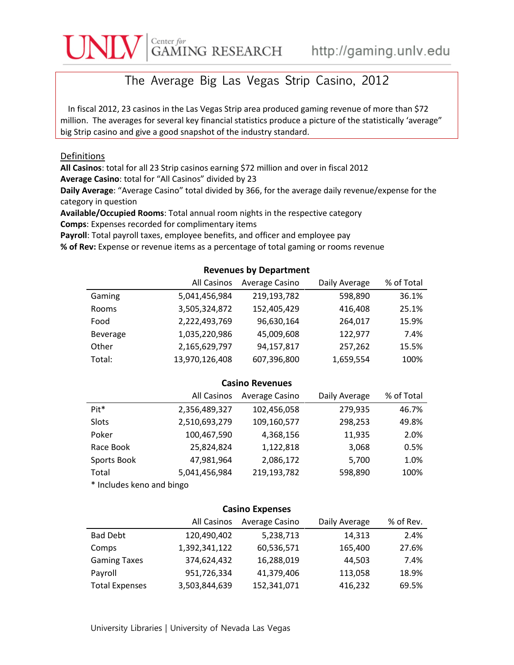# Center for GAMING RESEARCH http://gaming.unlv.edu

## The Average Big Las Vegas Strip Casino, 2012

In fiscal 2012, 23 casinos in the Las Vegas Strip area produced gaming revenue of more than \$72 million. The averages for several key financial statistics produce a picture of the statistically 'average" big Strip casino and give a good snapshot of the industry standard.

## Definitions

**All Casinos**: total for all 23 Strip casinos earning \$72 million and over in fiscal 2012 **Average Casino**: total for "All Casinos" divided by 23

**Daily Average**: "Average Casino" total divided by 366, for the average daily revenue/expense for the category in question

**Available/Occupied Rooms**: Total annual room nights in the respective category

**Comps**: Expenses recorded for complimentary items

**Payroll**: Total payroll taxes, employee benefits, and officer and employee pay

**% of Rev:** Expense or revenue items as a percentage of total gaming or rooms revenue

## **Revenues by Department** All Casinos Average Casino Daily Average % of Total Gaming  $5,041,456,984$  219,193,782 598,890 36.1% Rooms 3,505,324,872 152,405,429 416,408 25.1% Food 2,222,493,769 96,630,164 264,017 15.9% Beverage 1,035,220,986 45,009,608 122,977 7.4% Other 2,165,629,797 94,157,817 257,262 15.5% Total: 13,970,126,408 607,396,800 1,659,554 100%

#### **Casino Revenues**

|                  | All Casinos   | Average Casino | Daily Average | % of Total |
|------------------|---------------|----------------|---------------|------------|
| Pit <sup>*</sup> | 2,356,489,327 | 102,456,058    | 279,935       | 46.7%      |
| Slots            | 2,510,693,279 | 109,160,577    | 298,253       | 49.8%      |
| Poker            | 100,467,590   | 4,368,156      | 11,935        | 2.0%       |
| Race Book        | 25,824,824    | 1,122,818      | 3,068         | 0.5%       |
| Sports Book      | 47,981,964    | 2,086,172      | 5,700         | 1.0%       |
| Total            | 5,041,456,984 | 219,193,782    | 598,890       | 100%       |
|                  |               |                |               |            |

\* Includes keno and bingo

## **Casino Expenses**

|                       | All Casinos   | Average Casino | Daily Average | % of Rev. |
|-----------------------|---------------|----------------|---------------|-----------|
| <b>Bad Debt</b>       | 120,490,402   | 5,238,713      | 14,313        | 2.4%      |
| Comps                 | 1,392,341,122 | 60,536,571     | 165,400       | 27.6%     |
| <b>Gaming Taxes</b>   | 374,624,432   | 16,288,019     | 44.503        | 7.4%      |
| Payroll               | 951,726,334   | 41,379,406     | 113,058       | 18.9%     |
| <b>Total Expenses</b> | 3,503,844,639 | 152,341,071    | 416,232       | 69.5%     |